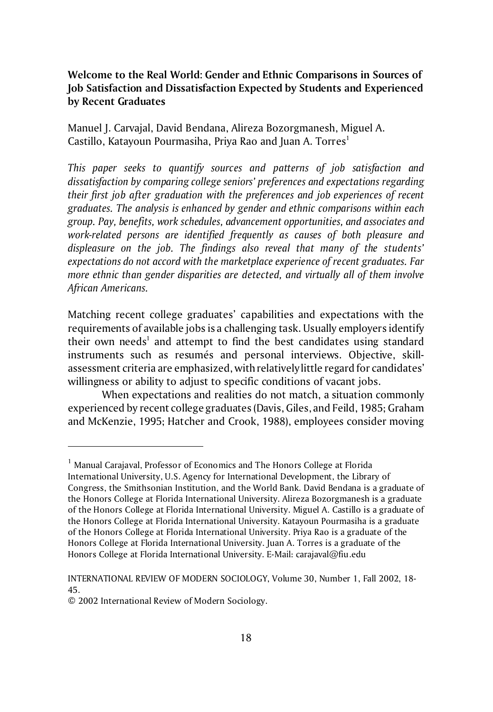# **Welcome to the Real World: Gender and Ethnic Comparisons in Sources of Job Satisfaction and Dissatisfaction Expected by Students and Experienced by Recent Graduates**

Manuel J. Carvajal, David Bendana, Alireza Bozorgmanesh, Miguel A. Castillo, Katayoun Pourmasiha, Priya Rao and Juan A. Torres<sup>1</sup>

*This paper seeks to quantify sources and patterns of job satisfaction and dissatisfaction by comparing college seniors' preferences and expectations regarding their first job after graduation with the preferences and job experiences of recent graduates. The analysis is enhanced by gender and ethnic comparisons within each group. Pay, benefits, work schedules, advancement opportunities, and associates and work-related persons are identified frequently as causes of both pleasure and displeasure on the job. The findings also reveal that many of the students' expectations do not accord with the marketplace experience of recent graduates. Far more ethnic than gender disparities are detected, and virtually all of them involve African Americans.*

Matching recent college graduates' capabilities and expectations with the requirements of available jobs is a challenging task. Usually employers identify their own needs<sup>1</sup> and attempt to find the best candidates using standard instruments such as resumés and personal interviews. Objective, skillassessment criteria are emphasized, with relatively little regard for candidates' willingness or ability to adjust to specific conditions of vacant jobs.

When expectations and realities do not match, a situation commonly experienced by recent college graduates (Davis, Giles, and Feild, 1985; Graham and McKenzie, 1995; Hatcher and Crook, 1988), employees consider moving

<sup>1</sup> Manual Carajaval, Professor of Economics and The Honors College at Florida International University, U.S. Agency for International Development, the Library of Congress, the Smithsonian Institution, and the World Bank. David Bendana is a graduate of the Honors College at Florida International University. Alireza Bozorgmanesh is a graduate of the Honors College at Florida International University. Miguel A. Castillo is a graduate of the Honors College at Florida International University. Katayoun Pourmasiha is a graduate of the Honors College at Florida International University. Priya Rao is a graduate of the Honors College at Florida International University. Juan A. Torres is a graduate of the Honors College at Florida International University. E-Mail: carajaval@fiu.edu

INTERNATIONAL REVIEW OF MODERN SOCIOLOGY, Volume 30, Number 1, Fall 2002, 18- 45.

<sup>© 2002</sup> International Review of Modern Sociology.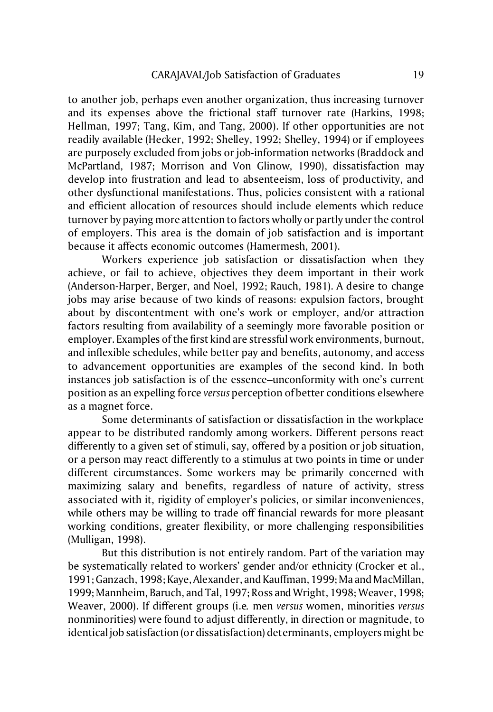to another job, perhaps even another organization, thus increasing turnover and its expenses above the frictional staff turnover rate (Harkins, 1998; Hellman, 1997; Tang, Kim, and Tang, 2000). If other opportunities are not readily available (Hecker, 1992; Shelley, 1992; Shelley, 1994) or if employees are purposely excluded from jobs or job-information networks (Braddock and McPartland, 1987; Morrison and Von Glinow, 1990), dissatisfaction may develop into frustration and lead to absenteeism, loss of productivity, and other dysfunctional manifestations. Thus, policies consistent with a rational and efficient allocation of resources should include elements which reduce turnover by paying more attention to factors wholly or partly under the control of employers. This area is the domain of job satisfaction and is important because it affects economic outcomes (Hamermesh, 2001).

Workers experience job satisfaction or dissatisfaction when they achieve, or fail to achieve, objectives they deem important in their work (Anderson-Harper, Berger, and Noel, 1992; Rauch, 1981). A desire to change jobs may arise because of two kinds of reasons: expulsion factors, brought about by discontentment with one's work or employer, and/or attraction factors resulting from availability of a seemingly more favorable position or employer. Examples of the first kind are stressful work environments, burnout, and inflexible schedules, while better pay and benefits, autonomy, and access to advancement opportunities are examples of the second kind. In both instances job satisfaction is of the essence–unconformity with one's current position as an expelling force *versus* perception of better conditions elsewhere as a magnet force.

Some determinants of satisfaction or dissatisfaction in the workplace appear to be distributed randomly among workers. Different persons react differently to a given set of stimuli, say, offered by a position or job situation, or a person may react differently to a stimulus at two points in time or under different circumstances. Some workers may be primarily concerned with maximizing salary and benefits, regardless of nature of activity, stress associated with it, rigidity of employer's policies, or similar inconveniences, while others may be willing to trade off financial rewards for more pleasant working conditions, greater flexibility, or more challenging responsibilities (Mulligan, 1998).

But this distribution is not entirely random. Part of the variation may be systematically related to workers' gender and/or ethnicity (Crocker et al., 1991; Ganzach, 1998; Kaye, Alexander, and Kauffman, 1999; Ma and MacMillan, 1999; Mannheim, Baruch, and Tal, 1997; Ross and Wright, 1998; Weaver, 1998; Weaver, 2000). If different groups (i.e*.* men *versus* women, minorities *versus* nonminorities) were found to adjust differently, in direction or magnitude, to identical job satisfaction (or dissatisfaction) determinants, employers might be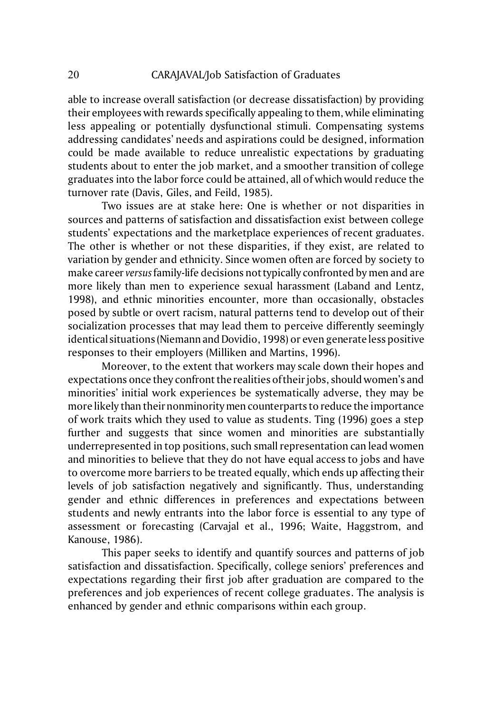able to increase overall satisfaction (or decrease dissatisfaction) by providing their employees with rewards specifically appealing to them, while eliminating less appealing or potentially dysfunctional stimuli. Compensating systems addressing candidates' needs and aspirations could be designed, information could be made available to reduce unrealistic expectations by graduating students about to enter the job market, and a smoother transition of college graduates into the labor force could be attained, all of which would reduce the turnover rate (Davis, Giles, and Feild, 1985).

Two issues are at stake here: One is whether or not disparities in sources and patterns of satisfaction and dissatisfaction exist between college students' expectations and the marketplace experiences of recent graduates. The other is whether or not these disparities, if they exist, are related to variation by gender and ethnicity. Since women often are forced by society to make career *versus* family-life decisions not typically confronted by men and are more likely than men to experience sexual harassment (Laband and Lentz, 1998), and ethnic minorities encounter, more than occasionally, obstacles posed by subtle or overt racism, natural patterns tend to develop out of their socialization processes that may lead them to perceive differently seemingly identical situations (Niemann and Dovidio, 1998) or even generate less positive responses to their employers (Milliken and Martins, 1996).

Moreover, to the extent that workers may scale down their hopes and expectations once they confront the realities of their jobs, should women's and minorities' initial work experiences be systematically adverse, they may be more likely than their nonminority men counterparts to reduce the importance of work traits which they used to value as students. Ting (1996) goes a step further and suggests that since women and minorities are substantially underrepresented in top positions, such small representation can lead women and minorities to believe that they do not have equal access to jobs and have to overcome more barriers to be treated equally, which ends up affecting their levels of job satisfaction negatively and significantly. Thus, understanding gender and ethnic differences in preferences and expectations between students and newly entrants into the labor force is essential to any type of assessment or forecasting (Carvajal et al., 1996; Waite, Haggstrom, and Kanouse, 1986).

This paper seeks to identify and quantify sources and patterns of job satisfaction and dissatisfaction. Specifically, college seniors' preferences and expectations regarding their first job after graduation are compared to the preferences and job experiences of recent college graduates. The analysis is enhanced by gender and ethnic comparisons within each group.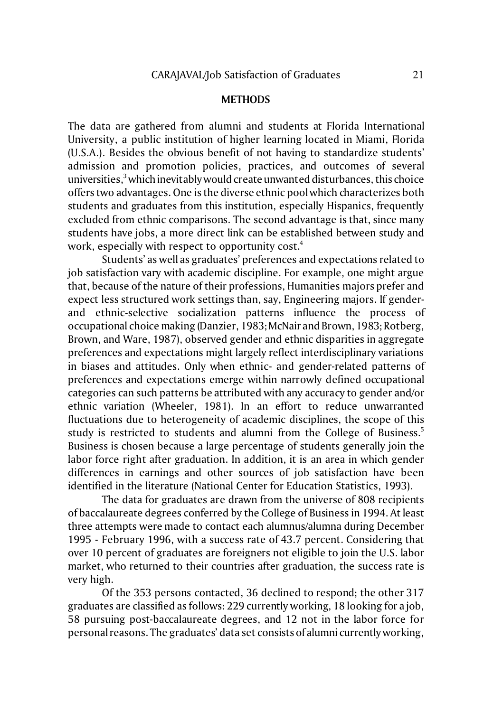#### **METHODS**

The data are gathered from alumni and students at Florida International University, a public institution of higher learning located in Miami, Florida (U.S.A.). Besides the obvious benefit of not having to standardize students' admission and promotion policies, practices, and outcomes of several universities, $^3$  which inevitably would create unwanted disturbances, this choice offers two advantages. One is the diverse ethnic pool which characterizes both students and graduates from this institution, especially Hispanics, frequently excluded from ethnic comparisons. The second advantage is that, since many students have jobs, a more direct link can be established between study and work, especially with respect to opportunity cost.<sup>4</sup>

Students' as well as graduates' preferences and expectations related to job satisfaction vary with academic discipline. For example, one might argue that, because of the nature of their professions, Humanities majors prefer and expect less structured work settings than, say, Engineering majors. If genderand ethnic-selective socialization patterns influence the process of occupational choice making (Danzier, 1983; McNair and Brown, 1983; Rotberg, Brown, and Ware, 1987), observed gender and ethnic disparities in aggregate preferences and expectations might largely reflect interdisciplinary variations in biases and attitudes. Only when ethnic- and gender-related patterns of preferences and expectations emerge within narrowly defined occupational categories can such patterns be attributed with any accuracy to gender and/or ethnic variation (Wheeler, 1981). In an effort to reduce unwarranted fluctuations due to heterogeneity of academic disciplines, the scope of this study is restricted to students and alumni from the College of Business.<sup>5</sup> Business is chosen because a large percentage of students generally join the labor force right after graduation. In addition, it is an area in which gender differences in earnings and other sources of job satisfaction have been identified in the literature (National Center for Education Statistics, 1993).

The data for graduates are drawn from the universe of 808 recipients of baccalaureate degrees conferred by the College of Business in 1994. At least three attempts were made to contact each alumnus/alumna during December 1995 - February 1996, with a success rate of 43.7 percent. Considering that over 10 percent of graduates are foreigners not eligible to join the U.S. labor market, who returned to their countries after graduation, the success rate is very high.

Of the 353 persons contacted, 36 declined to respond; the other 317 graduates are classified as follows: 229 currently working, 18 looking for a job, 58 pursuing post-baccalaureate degrees, and 12 not in the labor force for personal reasons. The graduates' data set consists of alumni currently working,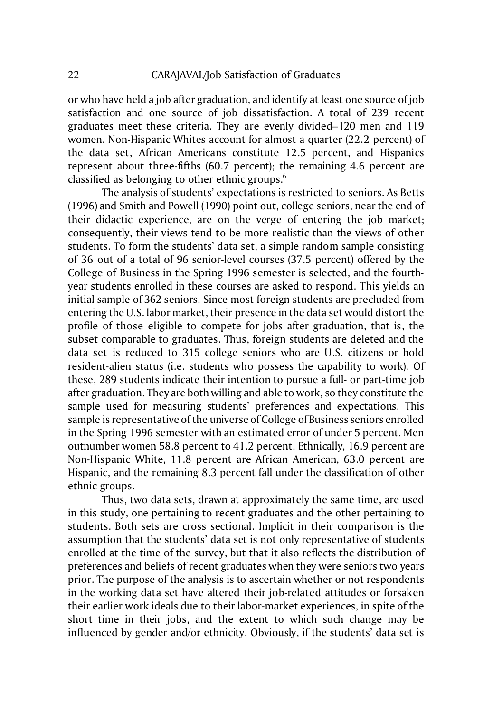or who have held a job after graduation, and identify at least one source of job satisfaction and one source of job dissatisfaction. A total of 239 recent graduates meet these criteria. They are evenly divided–120 men and 119 women. Non-Hispanic Whites account for almost a quarter (22.2 percent) of the data set, African Americans constitute 12.5 percent, and Hispanics represent about three-fifths (60.7 percent); the remaining 4.6 percent are classified as belonging to other ethnic groups.<sup>6</sup>

The analysis of students' expectations is restricted to seniors. As Betts (1996) and Smith and Powell (1990) point out, college seniors, near the end of their didactic experience, are on the verge of entering the job market; consequently, their views tend to be more realistic than the views of other students. To form the students' data set, a simple random sample consisting of 36 out of a total of 96 senior-level courses (37.5 percent) offered by the College of Business in the Spring 1996 semester is selected, and the fourthyear students enrolled in these courses are asked to respond. This yields an initial sample of 362 seniors. Since most foreign students are precluded from entering the U.S. labor market, their presence in the data set would distort the profile of those eligible to compete for jobs after graduation, that is, the subset comparable to graduates. Thus, foreign students are deleted and the data set is reduced to 315 college seniors who are U.S. citizens or hold resident-alien status (i.e. students who possess the capability to work). Of these, 289 students indicate their intention to pursue a full- or part-time job after graduation. They are both willing and able to work, so they constitute the sample used for measuring students' preferences and expectations. This sample is representative of the universe of College of Business seniors enrolled in the Spring 1996 semester with an estimated error of under 5 percent. Men outnumber women 58.8 percent to 41.2 percent. Ethnically, 16.9 percent are Non-Hispanic White, 11.8 percent are African American, 63.0 percent are Hispanic, and the remaining 8.3 percent fall under the classification of other ethnic groups.

Thus, two data sets, drawn at approximately the same time, are used in this study, one pertaining to recent graduates and the other pertaining to students. Both sets are cross sectional. Implicit in their comparison is the assumption that the students' data set is not only representative of students enrolled at the time of the survey, but that it also reflects the distribution of preferences and beliefs of recent graduates when they were seniors two years prior. The purpose of the analysis is to ascertain whether or not respondents in the working data set have altered their job-related attitudes or forsaken their earlier work ideals due to their labor-market experiences, in spite of the short time in their jobs, and the extent to which such change may be influenced by gender and/or ethnicity. Obviously, if the students' data set is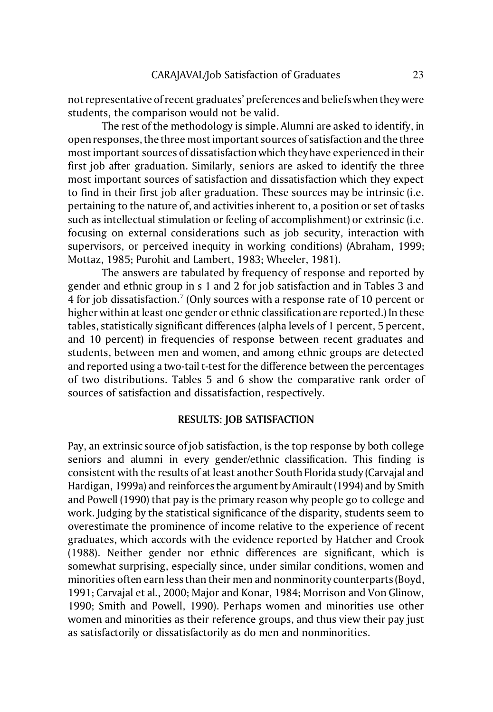not representative of recent graduates' preferences and beliefs when they were students, the comparison would not be valid.

The rest of the methodology is simple. Alumni are asked to identify, in open responses, the three most important sources of satisfaction and the three most important sources of dissatisfaction which they have experienced in their first job after graduation. Similarly, seniors are asked to identify the three most important sources of satisfaction and dissatisfaction which they expect to find in their first job after graduation. These sources may be intrinsic (i.e. pertaining to the nature of, and activities inherent to, a position or set of tasks such as intellectual stimulation or feeling of accomplishment) or extrinsic (i.e. focusing on external considerations such as job security, interaction with supervisors, or perceived inequity in working conditions) (Abraham, 1999; Mottaz, 1985; Purohit and Lambert, 1983; Wheeler, 1981).

The answers are tabulated by frequency of response and reported by gender and ethnic group in s 1 and 2 for job satisfaction and in Tables 3 and 4 for job dissatisfaction. $^7$  (Only sources with a response rate of 10 percent or higher within at least one gender or ethnic classification are reported.) In these tables, statistically significant differences (alpha levels of 1 percent, 5 percent, and 10 percent) in frequencies of response between recent graduates and students, between men and women, and among ethnic groups are detected and reported using a two-tail t-test for the difference between the percentages of two distributions. Tables 5 and 6 show the comparative rank order of sources of satisfaction and dissatisfaction, respectively.

# **RESULTS: JOB SATISFACTION**

Pay, an extrinsic source of job satisfaction, is the top response by both college seniors and alumni in every gender/ethnic classification. This finding is consistent with the results of at least another South Florida study (Carvajal and Hardigan, 1999a) and reinforces the argument by Amirault (1994) and by Smith and Powell (1990) that pay is the primary reason why people go to college and work. Judging by the statistical significance of the disparity, students seem to overestimate the prominence of income relative to the experience of recent graduates, which accords with the evidence reported by Hatcher and Crook (1988). Neither gender nor ethnic differences are significant, which is somewhat surprising, especially since, under similar conditions, women and minorities often earn less than their men and nonminority counterparts (Boyd, 1991; Carvajal et al., 2000; Major and Konar, 1984; Morrison and Von Glinow, 1990; Smith and Powell, 1990). Perhaps women and minorities use other women and minorities as their reference groups, and thus view their pay just as satisfactorily or dissatisfactorily as do men and nonminorities.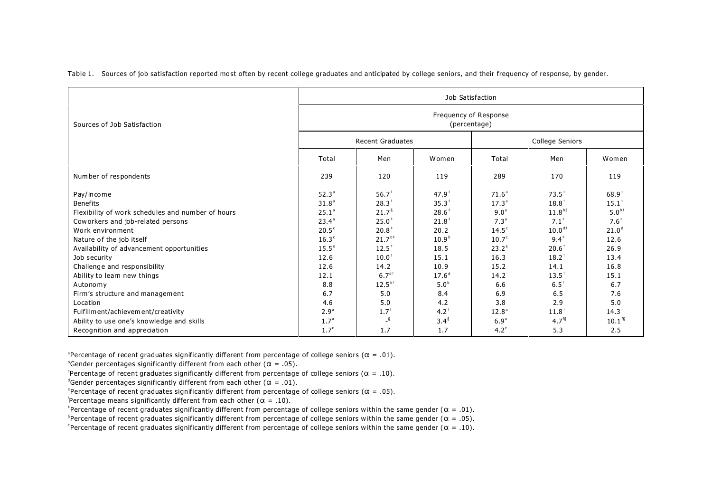Table 1. Sources of job satisfaction reported most often by recent college graduates and anticipated by college seniors, and their frequency of response, by gender.

|                                                                                    | Job Satisfaction                                            |                                                  |                                   |                                                            |                                      |                                  |  |  |
|------------------------------------------------------------------------------------|-------------------------------------------------------------|--------------------------------------------------|-----------------------------------|------------------------------------------------------------|--------------------------------------|----------------------------------|--|--|
| Sources of Job Satisfaction                                                        | Frequency of Response<br>(percentage)                       |                                                  |                                   |                                                            |                                      |                                  |  |  |
|                                                                                    | <b>Recent Graduates</b><br><b>College Seniors</b>           |                                                  |                                   |                                                            |                                      |                                  |  |  |
|                                                                                    | Total                                                       | Men                                              | Women                             | Total                                                      | Men                                  | Women                            |  |  |
| Number of respondents                                                              | 239                                                         | 120                                              | 119                               | 289                                                        | 170                                  | 119                              |  |  |
| Pay/income<br><b>Benefits</b><br>Flexibility of work schedules and number of hours | 52.3 <sup>a</sup><br>31.8 <sup>a</sup><br>25.1 <sup>a</sup> | $56.7*$<br>$28.3^+$<br>21.7 <sup>6</sup>         | $47.9^{*}$<br>$35.3*$<br>$28.6*$  | 71.6 <sup>a</sup><br>17.3 <sup>a</sup><br>9.0 <sup>a</sup> | $73.5^*$<br>$18.8^{+}$<br>$11.8^{b}$ | $68.9*$<br>$15.1*$<br>$5.0^{b*}$ |  |  |
| Coworkers and job-related persons<br>Work environment                              | $23.4^{\circ}$<br>20.5 <sup>c</sup>                         | $25.0*$<br>$20.8^+$                              | $21.8*$<br>20.2                   | 7.3 <sup>a</sup><br>$14.5^\circ$                           | $7.1^*$<br>$10.0^{d*}$               | $7.6*$<br>21.0 <sup>d</sup>      |  |  |
| Nature of the job itself<br>Availability of advancement opportunities              | 16.3 <sup>c</sup><br>15.5 <sup>e</sup><br>12.6              | $21.7^{b}$<br>$12.5^{\circ}$<br>$10.0^{\dagger}$ | 10.9 <sup>b</sup><br>18.5<br>15.1 | 10.7 <sup>c</sup><br>$23.2^{\circ}$<br>16.3                | $9.4*$<br>$20.6+$<br>$18.2^{+}$      | 12.6<br>26.9<br>13.4             |  |  |
| Job security<br>Challenge and responsibility<br>Ability to learn new things        | 12.6<br>12.1                                                | 14.2<br>$6.7^{d+}$                               | 10.9<br>17.6 <sup>d</sup>         | 15.2<br>14.2                                               | 14.1<br>$13.5^{+}$                   | 16.8<br>15.1                     |  |  |
| Autonomy                                                                           | 8.8<br>6.7                                                  | $12.5^{b}$<br>5.0                                | 5.0 <sup>b</sup><br>8.4           | 6.6<br>6.9                                                 | $6.5^{\dagger}$<br>6.5               | 6.7<br>7.6                       |  |  |
| Firm's structure and management<br>Location                                        | 4.6                                                         | 5.0                                              | 4.2                               | 3.8                                                        | 2.9                                  | 5.0                              |  |  |
| Fulfillment/achievement/creativity<br>Ability to use one's knowledge and skills    | 2.9 <sup>a</sup><br>1.7 <sup>a</sup>                        | $1.7^{*}$<br>$\sqrt{5}$                          | $4.2^+$<br>$3.4^{\frac{6}{3}}$    | 12.8 <sup>a</sup><br>6.9 <sup>a</sup>                      | $11.8*$<br>$4.7^{f5}$                | $14.3*$<br>10.1 <sup>15</sup>    |  |  |
| Recognition and appreciation                                                       | 1.7 <sup>c</sup>                                            | 1.7                                              | 1.7                               | 4.2 <sup>c</sup>                                           | 5.3                                  | 2.5                              |  |  |

 $\degree$ Percentage of recent graduates significantly different from percentage of college seniors (α = .01).

<sup>b</sup>Gender percentages significantly different from each other ( $\alpha = .05$ ).

Fercentage of recent graduates significantly different from percentage of college seniors ( $\alpha$  = .10).

<sup>d</sup>Gender percentages significantly different from each other ( $\alpha = .01$ ).

 $\text{Percentage of recent gradients significantly different from percentage of college seniors (α = .05).}$ 

Percentage means significantly different from each other ( $\alpha = .10$ ).

 $^\dagger$ Percentage of recent graduates significantly different from percentage of college seniors within the same gender ( $\alpha$  = .01).

 $^{\$}$ Percentage of recent graduates significantly different from percentage of college seniors within the same gender ( $\alpha$  = .05).

 $^\dagger$ Percentage of recent graduates significantly different from percentage of college seniors within the same gender ( $\alpha$  = .10).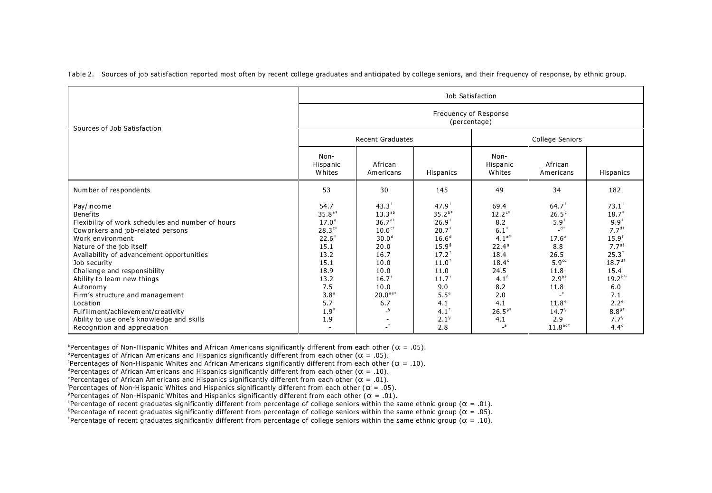|  |  |  |  | Table 2. Sources of job satisfaction reported most often by recent college graduates and anticipated by college seniors, and their frequency of response, by ethnic group. |  |  |
|--|--|--|--|----------------------------------------------------------------------------------------------------------------------------------------------------------------------------|--|--|
|--|--|--|--|----------------------------------------------------------------------------------------------------------------------------------------------------------------------------|--|--|

|                                                                                                                                                                                                                                                                                                                                                                                                      | Job Satisfaction                                                                                                                                    |                                                                                                                                                                                                                    |                                                                                                                                                                                  |                                                                                                                                                       |                                                                                                                                                                                                           |                                                                                                                                                                                  |  |  |  |
|------------------------------------------------------------------------------------------------------------------------------------------------------------------------------------------------------------------------------------------------------------------------------------------------------------------------------------------------------------------------------------------------------|-----------------------------------------------------------------------------------------------------------------------------------------------------|--------------------------------------------------------------------------------------------------------------------------------------------------------------------------------------------------------------------|----------------------------------------------------------------------------------------------------------------------------------------------------------------------------------|-------------------------------------------------------------------------------------------------------------------------------------------------------|-----------------------------------------------------------------------------------------------------------------------------------------------------------------------------------------------------------|----------------------------------------------------------------------------------------------------------------------------------------------------------------------------------|--|--|--|
| Sources of Job Satisfaction                                                                                                                                                                                                                                                                                                                                                                          | Frequency of Response<br>(percentage)                                                                                                               |                                                                                                                                                                                                                    |                                                                                                                                                                                  |                                                                                                                                                       |                                                                                                                                                                                                           |                                                                                                                                                                                  |  |  |  |
|                                                                                                                                                                                                                                                                                                                                                                                                      |                                                                                                                                                     | <b>Recent Graduates</b>                                                                                                                                                                                            |                                                                                                                                                                                  |                                                                                                                                                       | <b>College Seniors</b>                                                                                                                                                                                    |                                                                                                                                                                                  |  |  |  |
|                                                                                                                                                                                                                                                                                                                                                                                                      | Non-<br>Hispanic<br>Whites                                                                                                                          | African<br>Americans                                                                                                                                                                                               | Hispanics                                                                                                                                                                        | Non-<br>Hispanic<br>Whites                                                                                                                            | African<br>Americans                                                                                                                                                                                      | <b>Hispanics</b>                                                                                                                                                                 |  |  |  |
| Number of respondents                                                                                                                                                                                                                                                                                                                                                                                | 53                                                                                                                                                  | 30                                                                                                                                                                                                                 | 145                                                                                                                                                                              | 49                                                                                                                                                    | 34                                                                                                                                                                                                        | 182                                                                                                                                                                              |  |  |  |
| Pay/income<br><b>Benefits</b><br>Flexibility of work schedules and number of hours<br>Coworkers and job-related persons<br>Work environment<br>Nature of the job itself<br>Availability of advancement opportunities<br>Job security<br>Challenge and responsibility<br>Ability to learn new things<br>Autonomy<br>Firm's structure and management<br>Location<br>Fulfillment/achievement/creativity | 54.7<br>$35.8^{a+}$<br>17.0 <sup>a</sup><br>28.3c<br>$22.6*$<br>15.1<br>13.2<br>15.1<br>18.9<br>13.2<br>7.5<br>3.8 <sup>a</sup><br>5.7<br>$1.9^{+}$ | $43.3^+$<br>$13.3^{ab}$<br>$36.7^{a+}$<br>10.0 <sup>ct</sup><br>30.0 <sup>d</sup><br>20.0<br>16.7<br>10.0<br>10.0<br>$16.7^{+}$<br>10.0<br>$20.0^{a}$ <sup>e<math>*</math></sup><br>6.7<br>$\overline{\mathsf{S}}$ | $47.9*$<br>$35.2^{b}$<br>$26.9*$<br>$20.7*$<br>16.6 <sup>d</sup><br>$15.9^{5}$<br>$17.2^{+}$<br>$11.0^{+}$<br>11.0<br>$11.7^{+}$<br>9.0<br>$5.5^{\circ}$<br>4.1<br>$4.1^{\circ}$ | 69.4<br>$12.2^{c}$<br>8.2<br>$6.1*$<br>$4.1^{aft}$<br>22.4 <sup>9</sup><br>18.4<br>$18.4^\circ$<br>24.5<br>$4.1^f$<br>8.2<br>2.0<br>4.1<br>$26.5^{9}$ | $64.7^{+}$<br>$26.5^\circ$<br>$5.9*$<br>$-d+$<br>17.6 <sup>a</sup><br>8.8<br>26.5<br>5.9 <sup>cd</sup><br>11.8<br>$2.9^{b+}$<br>11.8<br>$\mathbf{L}^{\ddagger}$<br>11.8 <sup>e</sup><br>14.7 <sup>5</sup> | $73.1*$<br>$18.7*$<br>$9.9*$<br>$7.7^{d*}$<br>15.9 <sup>f</sup><br>7.799<br>$25.3^+$<br>$18.7^{d+}$<br>15.4<br>$19.2^{bft}$<br>6.0<br>7.1<br>2.2 <sup>e</sup><br>$8.8^{\rm\,g+}$ |  |  |  |
| Ability to use one's knowledge and skills<br>Recognition and appreciation                                                                                                                                                                                                                                                                                                                            | 1.9                                                                                                                                                 | $-$ <sup>+</sup>                                                                                                                                                                                                   | 2.1 <sup>6</sup><br>2.8                                                                                                                                                          | 4.1<br>$\overline{\phantom{a}}^a$                                                                                                                     | 2.9<br>$11.8^{ad+}$                                                                                                                                                                                       | $7.7^{\frac{6}{5}}$<br>4.4 <sup>d</sup>                                                                                                                                          |  |  |  |

 $^{\circ}$ Percentages of Non-Hispanic Whites and African Americans significantly different from each other ( $\alpha$  = .05).

 $^{\rm b}$ Percentages of African Americans and Hispanics significantly different from each other ( $\alpha$  = .05).

 $\epsilon$ Percentages of Non-Hispanic Whites and African Americans significantly different from each other ( $\alpha$  = .10).

<sup>d</sup> Percentages of African Am ericans and Hispanics significantly different from each other ( $\alpha$  = .10).

e Percentages of African Am ericans and Hispanics significantly different from each other ( $\alpha = .01$ ).

f Percentages of Non-Hispanic Whites and Hispanics significantly different from each other ( $\alpha$  = .05).

 $^9$ Percentages of Non-Hispanic Whites and Hispanics significantly different from each other ( $\alpha$  = .01).

 $^\dagger$ Percentage of recent graduates significantly different from percentage of college seniors within the same ethnic group ( $\alpha$  = .01).

 $^5$ Percentage of recent graduates significantly different from percentage of college seniors within the same ethnic group ( $\alpha$  = .05).

 $^{\dagger}$ Percentage of recent graduates significantly different from percentage of college seniors within the same ethnic group ( $\alpha = .10$ ).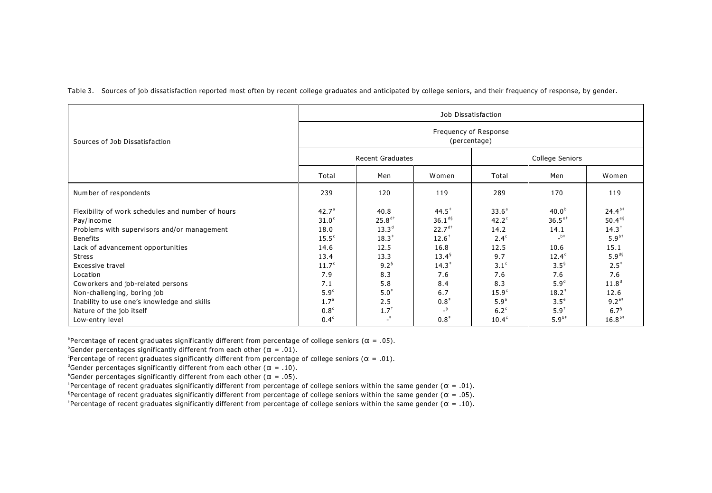Table 3. Sources of job dissatisfaction reported most often by recent college graduates and anticipated by college seniors, and their frequency of response, by gender.

|                                                                                                                                                                                                                                                              | Job Dissatisfaction                                                                                               |                                                                                                   |                                                                                                         |                                                                                                           |                                                                                                                                          |                                                                                                                            |  |  |
|--------------------------------------------------------------------------------------------------------------------------------------------------------------------------------------------------------------------------------------------------------------|-------------------------------------------------------------------------------------------------------------------|---------------------------------------------------------------------------------------------------|---------------------------------------------------------------------------------------------------------|-----------------------------------------------------------------------------------------------------------|------------------------------------------------------------------------------------------------------------------------------------------|----------------------------------------------------------------------------------------------------------------------------|--|--|
| Sources of Job Dissatisfaction                                                                                                                                                                                                                               | Frequency of Response<br>(percentage)                                                                             |                                                                                                   |                                                                                                         |                                                                                                           |                                                                                                                                          |                                                                                                                            |  |  |
|                                                                                                                                                                                                                                                              | <b>Recent Graduates</b>                                                                                           |                                                                                                   |                                                                                                         |                                                                                                           | <b>College Seniors</b>                                                                                                                   |                                                                                                                            |  |  |
|                                                                                                                                                                                                                                                              | Total                                                                                                             | Men                                                                                               | Women                                                                                                   | Total                                                                                                     | Men                                                                                                                                      | Women                                                                                                                      |  |  |
| Number of respondents                                                                                                                                                                                                                                        | 239                                                                                                               | 120                                                                                               | 119                                                                                                     | 289                                                                                                       | 170                                                                                                                                      | 119                                                                                                                        |  |  |
| Flexibility of work schedules and number of hours<br>Pay/income<br>Problems with supervisors and/or management<br><b>Benefits</b><br>Lack of advancement opportunities<br><b>Stress</b><br>Excessive travel<br>Location<br>Coworkers and job-related persons | 42.7 <sup>a</sup><br>31.0 <sup>c</sup><br>18.0<br>$15.5^\circ$<br>14.6<br>13.4<br>11.7 <sup>c</sup><br>7.9<br>7.1 | 40.8<br>$25.8^{d+}$<br>$13.3^{d}$<br>$18.3*$<br>12.5<br>13.3<br>$9.2^{\frac{6}{3}}$<br>8.3<br>5.8 | $44.5^*$<br>$36.1^{d5}$<br>22.7 <sup>dt</sup><br>$12.6^+$<br>16.8<br>$13.4^s$<br>$14.3^*$<br>7.6<br>8.4 | 33.6 <sup>a</sup><br>$42.2^\circ$<br>14.2<br>$2.4^\circ$<br>12.5<br>9.7<br>3.1 <sup>c</sup><br>7.6<br>8.3 | 40.0 <sup>b</sup><br>$36.5^{e+}$<br>14.1<br>$b^{\dagger}$<br>10.6<br>12.4 <sup>d</sup><br>$3.5^{\frac{6}{3}}$<br>7.6<br>5.9 <sup>d</sup> | $24.4^{b}$<br>$50.4e^{6}$<br>$14.3$ <sup>+</sup><br>$5.9^{b+}$<br>15.1<br>$5.9^{d}$<br>$2.5^*$<br>7.6<br>11.8 <sup>d</sup> |  |  |
| Non-challenging, boring job<br>Inability to use one's knowledge and skills<br>Nature of the job itself<br>Low-entry level                                                                                                                                    | 5.9 <sup>c</sup><br>1.7 <sup>a</sup><br>0.8 <sup>c</sup><br>$0.4^\circ$                                           | $5.0*$<br>2.5<br>$1.7^{+}$<br>$\overline{\phantom{a}}^*$                                          | 6.7<br>$0.8^*$<br>_§<br>$0.8^*$                                                                         | 15.9 <sup>c</sup><br>5.9 <sup>a</sup><br>6.2 <sup>c</sup><br>$10.4^\circ$                                 | $18.2^*$<br>3.5 <sup>e</sup><br>$5.9^{+}$<br>$5.9^{b}$                                                                                   | 12.6<br>$9.2^{e+}$<br>$6.7^{\frac{5}{3}}$<br>$16.8^{b}$                                                                    |  |  |

 ${}^{a}$ Percentage of recent graduates significantly different from percentage of college seniors ( $\alpha = .05$ ).

<sup>b</sup>Gender percentages significantly different from each other ( $\alpha = .01$ ).

 $\epsilon$ Percentage of recent graduates significantly different from percentage of college seniors ( $\alpha$  = .01).

<sup>d</sup>Gender percentages significantly different from each other ( $\alpha = .10$ ).

<sup>e</sup>Gender percentages significantly different from each other ( $\alpha = .05$ ).

 $^\dagger$ Percentage of recent graduates significantly different from percentage of college seniors within the same gender ( $\alpha$  = .01).

 $^5$ Percentage of recent graduates significantly different from percentage of college seniors within the same gender ( $\alpha$  = .05).

 $^\dagger$ Percentage of recent graduates significantly different from percentage of college seniors within the same gender (α = .10).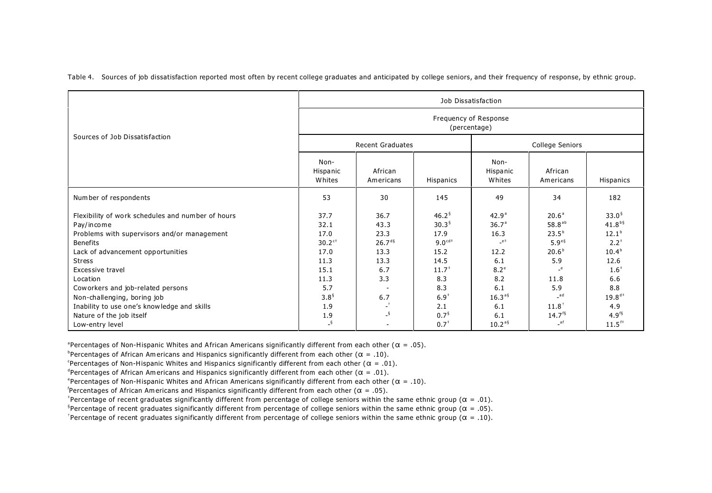Table 4. Sources of job dissatisfaction reported most often by recent college graduates and anticipated by college seniors, and their frequency of response, by ethnic group.

|                                                                                                                                                                                                                                                                                                                                            | Job Dissatisfaction                                                                                      |                                                                                 |                                                                                                                            |                                                                                                                           |                                                                                                                                                                                        |                                                                                                                                                |  |  |  |
|--------------------------------------------------------------------------------------------------------------------------------------------------------------------------------------------------------------------------------------------------------------------------------------------------------------------------------------------|----------------------------------------------------------------------------------------------------------|---------------------------------------------------------------------------------|----------------------------------------------------------------------------------------------------------------------------|---------------------------------------------------------------------------------------------------------------------------|----------------------------------------------------------------------------------------------------------------------------------------------------------------------------------------|------------------------------------------------------------------------------------------------------------------------------------------------|--|--|--|
|                                                                                                                                                                                                                                                                                                                                            | Frequency of Response<br>(percentage)                                                                    |                                                                                 |                                                                                                                            |                                                                                                                           |                                                                                                                                                                                        |                                                                                                                                                |  |  |  |
| Sources of Job Dissatisfaction                                                                                                                                                                                                                                                                                                             |                                                                                                          | <b>Recent Graduates</b>                                                         |                                                                                                                            | <b>College Seniors</b>                                                                                                    |                                                                                                                                                                                        |                                                                                                                                                |  |  |  |
|                                                                                                                                                                                                                                                                                                                                            | Non-<br>Hispanic<br>Whites                                                                               | African<br>Americans                                                            | Hispanics                                                                                                                  | Non-<br>Hispanic<br>Whites                                                                                                | African<br>Americans                                                                                                                                                                   | Hispanics                                                                                                                                      |  |  |  |
| Number of respondents                                                                                                                                                                                                                                                                                                                      | 53                                                                                                       | 30                                                                              | 145                                                                                                                        | 49                                                                                                                        | 34                                                                                                                                                                                     | 182                                                                                                                                            |  |  |  |
| Flexibility of work schedules and number of hours<br>Pay/income<br>Problems with supervisors and/or management<br><b>Benefits</b><br>Lack of advancement opportunities<br><b>Stress</b><br>Excessive travel<br>Location<br>Coworkers and job-related persons<br>Non-challenging, boring job<br>Inability to use one's knowledge and skills | 37.7<br>32.1<br>17.0<br>$30.2^{c*}$<br>17.0<br>11.3<br>15.1<br>11.3<br>5.7<br>$3.8^{\frac{5}{3}}$<br>1.9 | 36.7<br>43.3<br>23.3<br>26.7 <sup>46</sup><br>13.3<br>13.3<br>6.7<br>3.3<br>6.7 | $46.2^{\frac{6}{5}}$<br>30.3 <sup>5</sup><br>17.9<br>$9.0^{cd}$<br>15.2<br>14.5<br>$11.7^*$<br>8.3<br>8.3<br>$6.9*$<br>2.1 | 42.9 <sup>a</sup><br>36.7 <sup>a</sup><br>16.3<br>$e^{\pm}$<br>12.2<br>6.1<br>$8.2^e$<br>8.2<br>6.1<br>$16.3^{95}$<br>6.1 | 20.6 <sup>a</sup><br>$58.8^{ab}$<br>$23.5^{b}$<br>$5.9e$ <sup>6</sup><br>20.6 <sup>b</sup><br>5.9<br>$\mathsf{e}$<br>11.8<br>5.9<br>$\ensuremath{\mathsf{a}}\xspace$ and<br>$11.8^{+}$ | $33.0^{\frac{5}{3}}$<br>$41.8^{b5}$<br>12.1 <sup>b</sup><br>$2.2^*$<br>10.4 <sup>b</sup><br>12.6<br>$1.6*$<br>6.6<br>8.8<br>$19.8^{d*}$<br>4.9 |  |  |  |
| Nature of the job itself<br>Low-entry level                                                                                                                                                                                                                                                                                                | 1.9<br>$\sqrt{2}$                                                                                        | $\overline{\phantom{0}}$                                                        | $0.7^{\frac{6}{5}}$<br>$0.7^{*}$                                                                                           | 6.1<br>$10.2^{a}$                                                                                                         | $14.7^{f§}$<br>_af                                                                                                                                                                     | $4.9^{f5}$<br>$11.5$ <sup>f#</sup>                                                                                                             |  |  |  |

 $^3$ Percentages of Non-Hispanic Whites and African Americans significantly different from each other ( $\alpha$  = .05).

<sup>b</sup> Percentages of African Americans and Hispanics significantly different from each other ( $\alpha$  = .10).

Fercentages of Non-Hispanic Whites and Hispanics significantly different from each other ( $\alpha$  = .01).

<sup>d</sup> Percentages of African Am ericans and Hispanics significantly different from each other ( $\alpha$  = .01).

 $\text{``Percentages of Non-Hispanic Whites and African Americans significantly different from each other } (\alpha = .10).$ 

f Percentages of African Americans and Hispanics significantly different from each other ( $\alpha$  = .05).

 $^{\dagger}$ Percentage of recent graduates significantly different from percentage of college seniors within the same ethnic group ( $\alpha$  = .01).

 $^{\circ}$ Percentage of recent graduates significantly different from percentage of college seniors within the same ethnic group ( $\alpha$  = .05).

 $^\dagger$ Percentage of recent graduates significantly different from percentage of college seniors within the same ethnic group ( $\alpha = .10$ ).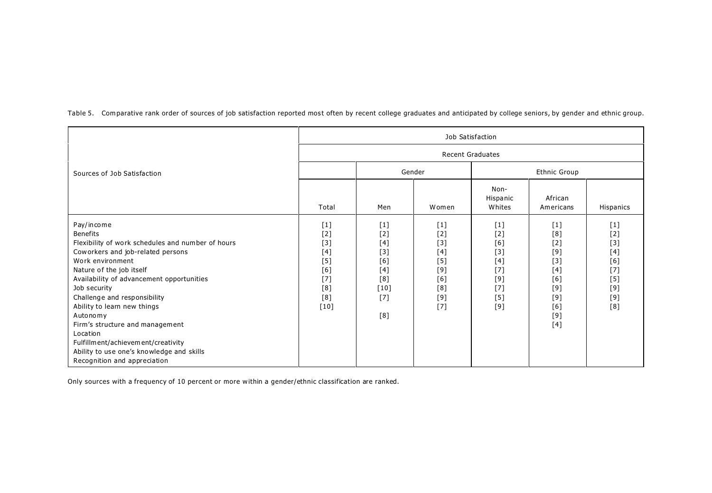Sources of Job Satisfaction Job Satisfaction Recent Graduates Gender **Ethnic Group** Total Men Wom en Non-Hispanic Whites African Americans Hispanics Pay/income Benefits Flexibility of work schedules and number of hours Cow orkers and job-related persons Work environment Nature of the job itself Availability of advancement opportunities Job security Challenge and responsibility Ability to learn new things Autonomy Firm's structure and managem ent Location Fulfillment/achievem ent/creativity Ability to use one's knowledge and skills Recognition and appreciation  $[1]$ [2] [3] [4] [5] [6] [7] [8] [8]  $[10]$  $[1]$  $[2]$ [4] [3] [6]  $[4]$ [8] [10] [7] [8]  $[1]$ [2]  $[3]$  $[4]$ [5] [9] [6] [8] [9] [7]  $[1]$ [2]  $[6]$ [3] [4] [7] [9] [7] [5] [9]  $[1]$ [8] [2] [9] [3]  $[4]$ [6] [9] [9] [6] [9]  $[4]$  $[1]$  $[2]$ [3]  $[4]$ [6] [7]  $[5]$ [9] [9] [8]

Table 5. Com parative rank order of sources of job satisfaction reported most often by recent college graduates and anticipated by college seniors, by gender and ethnic group.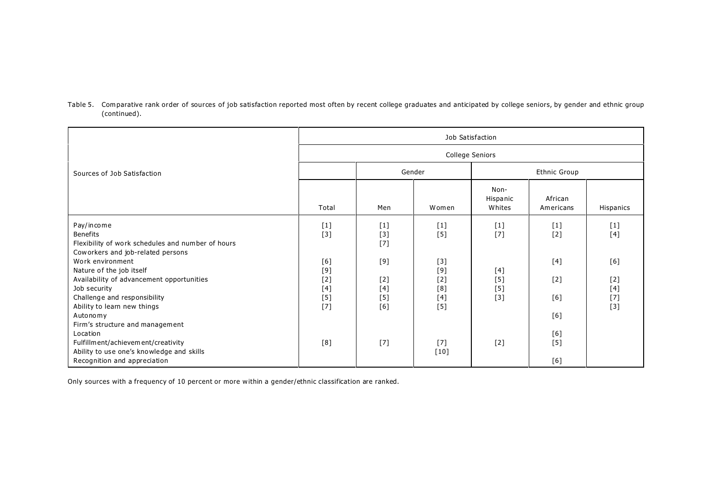Table 5. Comparative rank order of sources of job satisfaction reported most often by recent college graduates and anticipated by college seniors, by gender and ethnic group (continued).

|                                                                                                                         | Job Satisfaction      |                         |                         |                            |                      |                         |  |  |  |  |  |  |
|-------------------------------------------------------------------------------------------------------------------------|-----------------------|-------------------------|-------------------------|----------------------------|----------------------|-------------------------|--|--|--|--|--|--|
|                                                                                                                         |                       |                         | <b>College Seniors</b>  |                            |                      |                         |  |  |  |  |  |  |
| Sources of Job Satisfaction                                                                                             |                       | Gender                  |                         |                            | Ethnic Group         |                         |  |  |  |  |  |  |
|                                                                                                                         | Total                 | Men                     | Women                   | Non-<br>Hispanic<br>Whites | African<br>Americans | Hispanics               |  |  |  |  |  |  |
| Pay/income<br><b>Benefits</b><br>Flexibility of work schedules and number of hours<br>Coworkers and job-related persons | $[1]$<br>$[3]$        | $[1]$<br>$[3]$<br>$[7]$ | $[1]$<br>$[5]$          | $[1]$<br>$[7]$             | $[1]$<br>$[2]$       | $[1]$<br>$[4]$          |  |  |  |  |  |  |
| Work environment<br>Nature of the job itself<br>Availability of advancement opportunities                               | [6]<br>$[9]$<br>$[2]$ | $[9]$<br>$[2]$          | $[3]$<br>$[9]$<br>$[2]$ | $[4]$<br>$[5]$             | $[4]$<br>[2]         | [6]<br>$[2]$            |  |  |  |  |  |  |
| Job security<br>Challenge and responsibility<br>Ability to learn new things                                             | $[4]$<br>$[5]$<br>[7] | $[4]$<br>[5]<br>[6]     | [8]<br>[4]<br>$[5]$     | $[5]$<br>$[3]$             | [6]                  | $[4]$<br>$[7]$<br>$[3]$ |  |  |  |  |  |  |
| Autonomy<br>Firm's structure and management<br>Location                                                                 |                       |                         |                         |                            | [6]<br>[6]           |                         |  |  |  |  |  |  |
| Fulfillment/achievement/creativity<br>Ability to use one's knowledge and skills<br>Recognition and appreciation         | [8]                   | [7]                     | [7]<br>$[10]$           | $[2]$                      | $[5]$<br>[6]         |                         |  |  |  |  |  |  |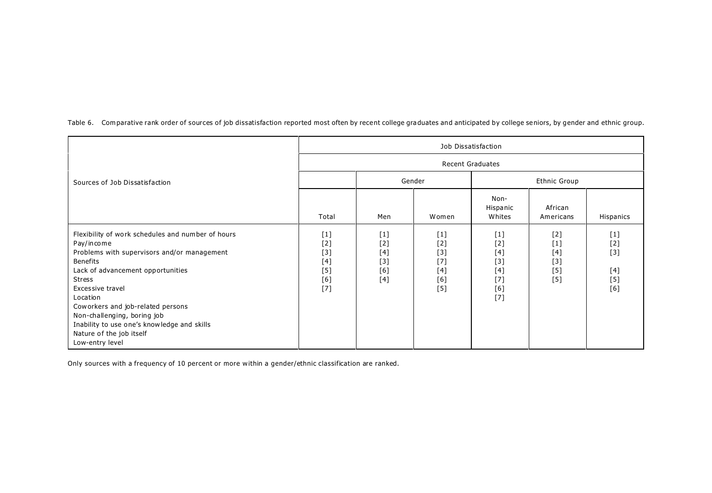Table 6. Com parative rank order of sources of job dissatisfaction reported most often by recent college graduates and anticipated by college seniors, by gender and ethnic group.

|                                                                                                                                                                                                                                                                                                                                                                                           | Job Dissatisfaction                                       |                                              |                                                         |                                                                |                                                    |                                                  |  |  |
|-------------------------------------------------------------------------------------------------------------------------------------------------------------------------------------------------------------------------------------------------------------------------------------------------------------------------------------------------------------------------------------------|-----------------------------------------------------------|----------------------------------------------|---------------------------------------------------------|----------------------------------------------------------------|----------------------------------------------------|--------------------------------------------------|--|--|
|                                                                                                                                                                                                                                                                                                                                                                                           | <b>Recent Graduates</b>                                   |                                              |                                                         |                                                                |                                                    |                                                  |  |  |
| Sources of Job Dissatisfaction                                                                                                                                                                                                                                                                                                                                                            |                                                           | Gender                                       |                                                         | <b>Ethnic Group</b>                                            |                                                    |                                                  |  |  |
|                                                                                                                                                                                                                                                                                                                                                                                           | Total                                                     | Men                                          | Women                                                   | Non-<br>Hispanic<br>Whites                                     | African<br>Americans                               | Hispanics                                        |  |  |
| Flexibility of work schedules and number of hours<br>Pay/income<br>Problems with supervisors and/or management<br><b>Benefits</b><br>Lack of advancement opportunities<br><b>Stress</b><br>Excessive travel<br>Location<br>Coworkers and job-related persons<br>Non-challenging, boring job<br>Inability to use one's knowledge and skills<br>Nature of the job itself<br>Low-entry level | $[1]$<br>$[2]$<br>$[3]$<br>$[4]$<br>$[5]$<br>[6]<br>$[7]$ | $[1]$<br>$[2]$<br>[4]<br>$[3]$<br>[6]<br>[4] | $[1]$<br>$[2]$<br>$[3]$<br>$[7]$<br>[4]<br>[6]<br>$[5]$ | $[1]$<br>$[2]$<br>[4]<br>$[3]$<br>[4]<br>$[7]$<br>[6]<br>$[7]$ | $[2]$<br>$[1]$<br>$[4]$<br>$[3]$<br>$[5]$<br>$[5]$ | $[1]$<br>$[2]$<br>$[3]$<br>$[4]$<br>$[5]$<br>[6] |  |  |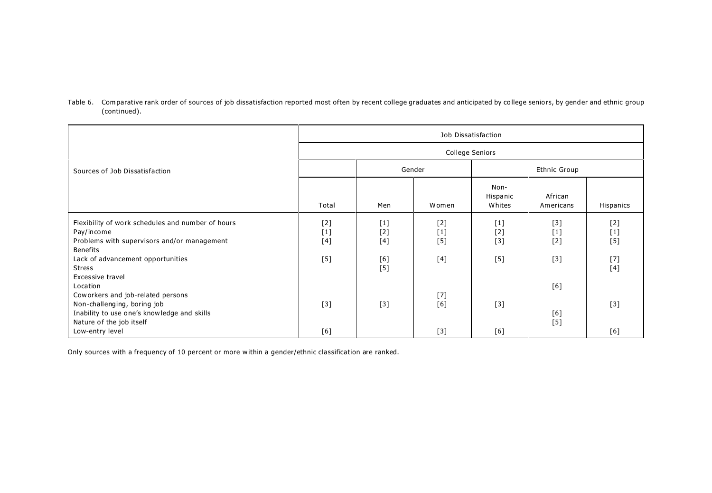Table 6. Com parative rank order of sources of job dissatisfaction reported most often by recent college graduates and anticipated by college seniors, by gender and ethnic group (continued).

|                                                                                                                | Job Dissatisfaction     |                       |                         |                            |                         |                         |  |  |  |
|----------------------------------------------------------------------------------------------------------------|-------------------------|-----------------------|-------------------------|----------------------------|-------------------------|-------------------------|--|--|--|
|                                                                                                                |                         | College Seniors       |                         |                            |                         |                         |  |  |  |
| Sources of Job Dissatisfaction                                                                                 |                         | Gender                |                         |                            | <b>Ethnic Group</b>     |                         |  |  |  |
|                                                                                                                | Total                   | Men                   | Women                   | Non-<br>Hispanic<br>Whites | African<br>Americans    | Hispanics               |  |  |  |
| Flexibility of work schedules and number of hours<br>Pay/income<br>Problems with supervisors and/or management | $[2]$<br>$[1]$<br>$[4]$ | $[1]$<br>$[2]$<br>[4] | $[2]$<br>$[1]$<br>$[5]$ | $[1]$<br>$[2]$<br>$[3]$    | $[3]$<br>$[1]$<br>$[2]$ | $[2]$<br>$[1]$<br>$[5]$ |  |  |  |
| <b>Benefits</b><br>Lack of advancement opportunities<br><b>Stress</b><br><b>Excessive travel</b>               | $[5]$                   | [6]<br>$[5]$          | $[4]$                   | $[5]$                      | $[3]$                   | $[7]$<br>$[4]$          |  |  |  |
| Location<br>Coworkers and job-related persons<br>Non-challenging, boring job                                   | $[3]$                   | $[3]$                 | $[7]$<br>[6]            | $[3]$                      | [6]                     | $[3]$                   |  |  |  |
| Inability to use one's knowledge and skills<br>Nature of the job itself<br>Low-entry level                     | [6]                     |                       | $[3]$                   | [6]                        | [6]<br>$[5]$            | [6]                     |  |  |  |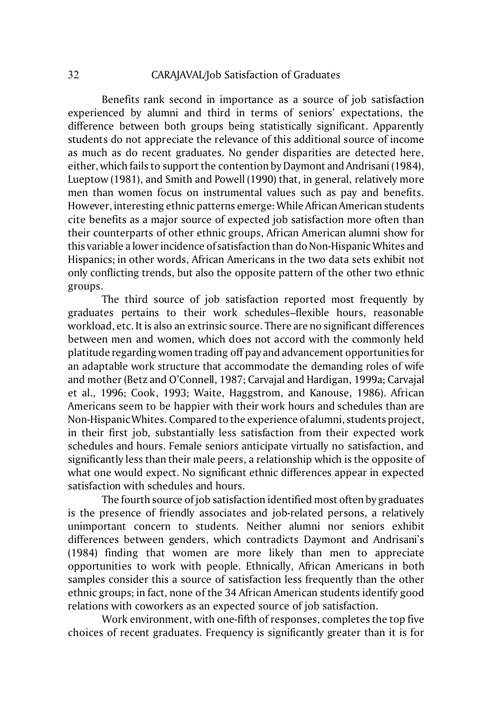32 CARAJAVAL/Job Satisfaction of Graduates

Benefits rank second in importance as a source of job satisfaction experienced by alumni and third in terms of seniors' expectations, the difference between both groups being statistically significant. Apparently students do not appreciate the relevance of this additional source of income as much as do recent graduates. No gender disparities are detected here, either, which fails to support the contention by Daymont and Andrisani (1984), Lueptow (1981), and Smith and Powell (1990) that, in general, relatively more men than women focus on instrumental values such as pay and benefits. However, interesting ethnic patterns emerge: While African American students cite benefits as a major source of expected job satisfaction more often than their counterparts of other ethnic groups, African American alumni show for this variable a lower incidence of satisfaction than do Non-Hispanic Whites and Hispanics; in other words, African Americans in the two data sets exhibit not only conflicting trends, but also the opposite pattern of the other two ethnic groups.

The third source of job satisfaction reported most frequently by graduates pertains to their work schedules–flexible hours, reasonable workload, etc. It is also an extrinsic source. There are no significant differences between men and women, which does not accord with the commonly held platitude regarding women trading off pay and advancement opportunities for an adaptable work structure that accommodate the demanding roles of wife and mother (Betz and O'Connell, 1987; Carvajal and Hardigan, 1999a; Carvajal et al., 1996; Cook, 1993; Waite, Haggstrom, and Kanouse, 1986). African Americans seem to be happier with their work hours and schedules than are Non-Hispanic Whites. Compared to the experience of alumni, students project, in their first job, substantially less satisfaction from their expected work schedules and hours. Female seniors anticipate virtually no satisfaction, and significantly less than their male peers, a relationship which is the opposite of what one would expect. No significant ethnic differences appear in expected satisfaction with schedules and hours.

The fourth source of job satisfaction identified most often by graduates is the presence of friendly associates and job-related persons, a relatively unimportant concern to students. Neither alumni nor seniors exhibit differences between genders, which contradicts Daymont and Andrisani's (1984) finding that women are more likely than men to appreciate opportunities to work with people. Ethnically, African Americans in both samples consider this a source of satisfaction less frequently than the other ethnic groups; in fact, none of the 34 African American students identify good relations with coworkers as an expected source of job satisfaction.

Work environment, with one-fifth of responses, completes the top five choices of recent graduates. Frequency is significantly greater than it is for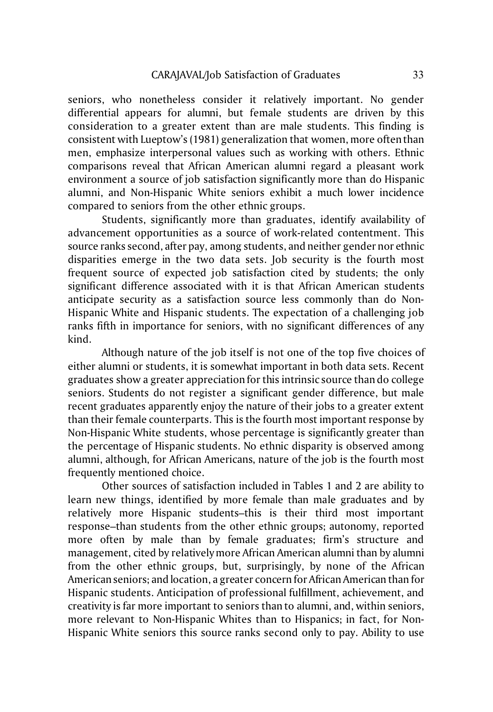seniors, who nonetheless consider it relatively important. No gender differential appears for alumni, but female students are driven by this consideration to a greater extent than are male students. This finding is consistent with Lueptow's (1981) generalization that women, more often than men, emphasize interpersonal values such as working with others. Ethnic comparisons reveal that African American alumni regard a pleasant work environment a source of job satisfaction significantly more than do Hispanic alumni, and Non-Hispanic White seniors exhibit a much lower incidence compared to seniors from the other ethnic groups.

Students, significantly more than graduates, identify availability of advancement opportunities as a source of work-related contentment. This source ranks second, after pay, among students, and neither gender nor ethnic disparities emerge in the two data sets. Job security is the fourth most frequent source of expected job satisfaction cited by students; the only significant difference associated with it is that African American students anticipate security as a satisfaction source less commonly than do Non-Hispanic White and Hispanic students. The expectation of a challenging job ranks fifth in importance for seniors, with no significant differences of any kind.

Although nature of the job itself is not one of the top five choices of either alumni or students, it is somewhat important in both data sets. Recent graduates show a greater appreciation for this intrinsic source than do college seniors. Students do not register a significant gender difference, but male recent graduates apparently enjoy the nature of their jobs to a greater extent than their female counterparts. This is the fourth most important response by Non-Hispanic White students, whose percentage is significantly greater than the percentage of Hispanic students. No ethnic disparity is observed among alumni, although, for African Americans, nature of the job is the fourth most frequently mentioned choice.

Other sources of satisfaction included in Tables 1 and 2 are ability to learn new things, identified by more female than male graduates and by relatively more Hispanic students–this is their third most important response–than students from the other ethnic groups; autonomy, reported more often by male than by female graduates; firm's structure and management, cited by relatively more African American alumni than by alumni from the other ethnic groups, but, surprisingly, by none of the African American seniors; and location, a greater concern for African American than for Hispanic students. Anticipation of professional fulfillment, achievement, and creativity is far more important to seniors than to alumni, and, within seniors, more relevant to Non-Hispanic Whites than to Hispanics; in fact, for Non-Hispanic White seniors this source ranks second only to pay. Ability to use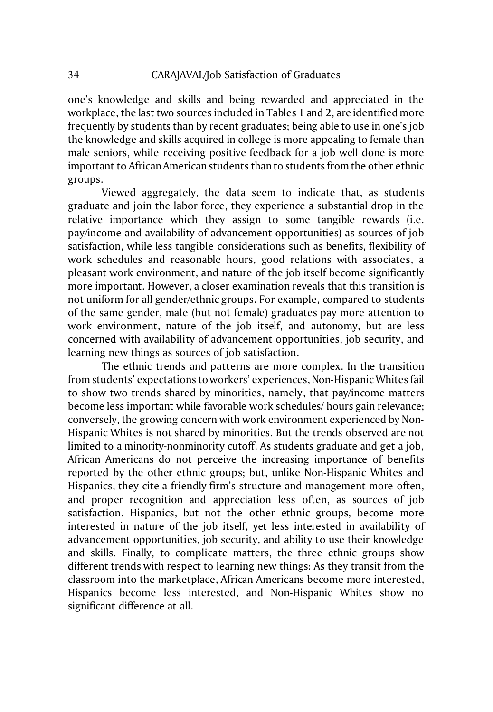one's knowledge and skills and being rewarded and appreciated in the workplace, the last two sources included in Tables 1 and 2, are identified more frequently by students than by recent graduates; being able to use in one's job the knowledge and skills acquired in college is more appealing to female than male seniors, while receiving positive feedback for a job well done is more important to African American students than to students from the other ethnic groups.

Viewed aggregately, the data seem to indicate that, as students graduate and join the labor force, they experience a substantial drop in the relative importance which they assign to some tangible rewards (i.e. pay/income and availability of advancement opportunities) as sources of job satisfaction, while less tangible considerations such as benefits, flexibility of work schedules and reasonable hours, good relations with associates, a pleasant work environment, and nature of the job itself become significantly more important. However, a closer examination reveals that this transition is not uniform for all gender/ethnic groups. For example, compared to students of the same gender, male (but not female) graduates pay more attention to work environment, nature of the job itself, and autonomy, but are less concerned with availability of advancement opportunities, job security, and learning new things as sources of job satisfaction.

The ethnic trends and patterns are more complex. In the transition from students' expectations to workers' experiences, Non-Hispanic Whites fail to show two trends shared by minorities, namely, that pay/income matters become less important while favorable work schedules/ hours gain relevance; conversely, the growing concern with work environment experienced by Non-Hispanic Whites is not shared by minorities. But the trends observed are not limited to a minority-nonminority cutoff. As students graduate and get a job, African Americans do not perceive the increasing importance of benefits reported by the other ethnic groups; but, unlike Non-Hispanic Whites and Hispanics, they cite a friendly firm's structure and management more often, and proper recognition and appreciation less often, as sources of job satisfaction. Hispanics, but not the other ethnic groups, become more interested in nature of the job itself, yet less interested in availability of advancement opportunities, job security, and ability to use their knowledge and skills. Finally, to complicate matters, the three ethnic groups show different trends with respect to learning new things: As they transit from the classroom into the marketplace, African Americans become more interested, Hispanics become less interested, and Non-Hispanic Whites show no significant difference at all.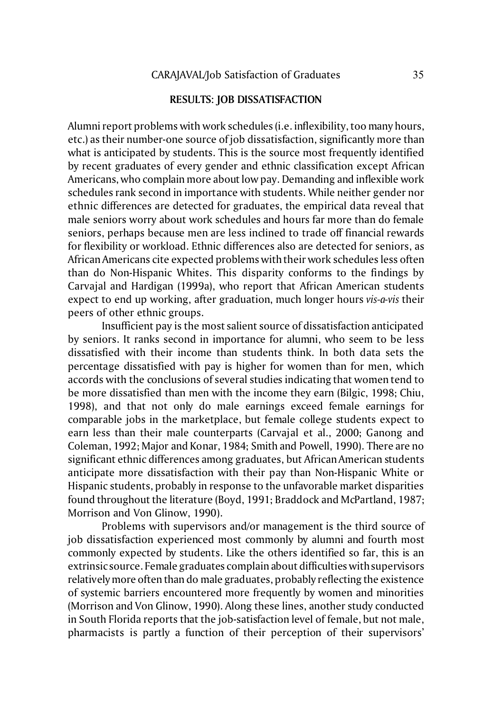### **RESULTS: JOB DISSATISFACTION**

Alumni report problems with work schedules (i.e. inflexibility, too many hours, etc.) as their number-one source of job dissatisfaction, significantly more than what is anticipated by students. This is the source most frequently identified by recent graduates of every gender and ethnic classification except African Americans, who complain more about low pay. Demanding and inflexible work schedules rank second in importance with students. While neither gender nor ethnic differences are detected for graduates, the empirical data reveal that male seniors worry about work schedules and hours far more than do female seniors, perhaps because men are less inclined to trade off financial rewards for flexibility or workload. Ethnic differences also are detected for seniors, as African Americans cite expected problems with their work schedules less often than do Non-Hispanic Whites. This disparity conforms to the findings by Carvajal and Hardigan (1999a), who report that African American students expect to end up working, after graduation, much longer hours *vis-a-vis* their peers of other ethnic groups.

Insufficient pay is the most salient source of dissatisfaction anticipated by seniors. It ranks second in importance for alumni, who seem to be less dissatisfied with their income than students think. In both data sets the percentage dissatisfied with pay is higher for women than for men, which accords with the conclusions of several studies indicating that women tend to be more dissatisfied than men with the income they earn (Bilgic, 1998; Chiu, 1998), and that not only do male earnings exceed female earnings for comparable jobs in the marketplace, but female college students expect to earn less than their male counterparts (Carvajal et al., 2000; Ganong and Coleman, 1992; Major and Konar, 1984; Smith and Powell, 1990). There are no significant ethnic differences among graduates, but African American students anticipate more dissatisfaction with their pay than Non-Hispanic White or Hispanic students, probably in response to the unfavorable market disparities found throughout the literature (Boyd, 1991; Braddock and McPartland, 1987; Morrison and Von Glinow, 1990).

Problems with supervisors and/or management is the third source of job dissatisfaction experienced most commonly by alumni and fourth most commonly expected by students. Like the others identified so far, this is an extrinsic source. Female graduates complain about difficulties with supervisors relatively more often than do male graduates, probably reflecting the existence of systemic barriers encountered more frequently by women and minorities (Morrison and Von Glinow, 1990). Along these lines, another study conducted in South Florida reports that the job-satisfaction level of female, but not male, pharmacists is partly a function of their perception of their supervisors'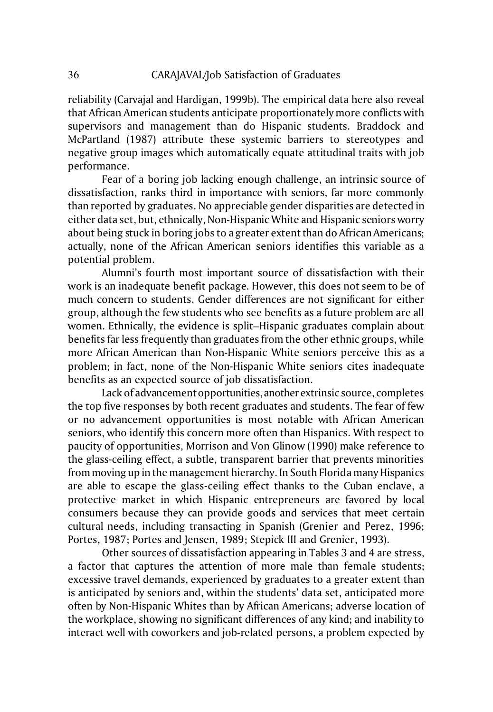reliability (Carvajal and Hardigan, 1999b). The empirical data here also reveal that African American students anticipate proportionately more conflicts with supervisors and management than do Hispanic students. Braddock and McPartland (1987) attribute these systemic barriers to stereotypes and negative group images which automatically equate attitudinal traits with job performance.

Fear of a boring job lacking enough challenge, an intrinsic source of dissatisfaction, ranks third in importance with seniors, far more commonly than reported by graduates. No appreciable gender disparities are detected in either data set, but, ethnically, Non-Hispanic White and Hispanic seniors worry about being stuck in boring jobs to a greater extent than do African Americans; actually, none of the African American seniors identifies this variable as a potential problem.

Alumni's fourth most important source of dissatisfaction with their work is an inadequate benefit package. However, this does not seem to be of much concern to students. Gender differences are not significant for either group, although the few students who see benefits as a future problem are all women. Ethnically, the evidence is split–Hispanic graduates complain about benefits far less frequently than graduates from the other ethnic groups, while more African American than Non-Hispanic White seniors perceive this as a problem; in fact, none of the Non-Hispanic White seniors cites inadequate benefits as an expected source of job dissatisfaction.

Lack of advancement opportunities,another extrinsic source, completes the top five responses by both recent graduates and students. The fear of few or no advancement opportunities is most notable with African American seniors, who identify this concern more often than Hispanics. With respect to paucity of opportunities, Morrison and Von Glinow (1990) make reference to the glass-ceiling effect, a subtle, transparent barrier that prevents minorities from moving up in the management hierarchy. In South Florida many Hispanics are able to escape the glass-ceiling effect thanks to the Cuban enclave, a protective market in which Hispanic entrepreneurs are favored by local consumers because they can provide goods and services that meet certain cultural needs, including transacting in Spanish (Grenier and Perez, 1996; Portes, 1987; Portes and Jensen, 1989; Stepick III and Grenier, 1993).

Other sources of dissatisfaction appearing in Tables 3 and 4 are stress, a factor that captures the attention of more male than female students; excessive travel demands, experienced by graduates to a greater extent than is anticipated by seniors and, within the students' data set, anticipated more often by Non-Hispanic Whites than by African Americans; adverse location of the workplace, showing no significant differences of any kind; and inability to interact well with coworkers and job-related persons, a problem expected by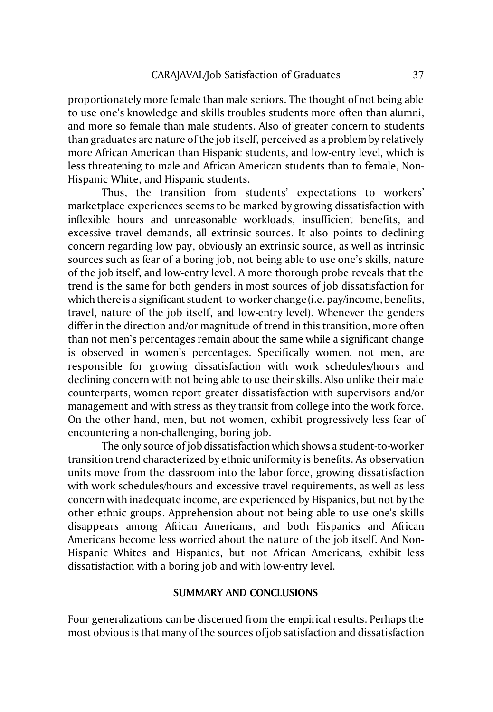proportionately more female than male seniors. The thought of not being able to use one's knowledge and skills troubles students more often than alumni, and more so female than male students. Also of greater concern to students than graduates are nature of the job itself, perceived as a problem by relatively more African American than Hispanic students, and low-entry level, which is less threatening to male and African American students than to female, Non-Hispanic White, and Hispanic students.

Thus, the transition from students' expectations to workers' marketplace experiences seems to be marked by growing dissatisfaction with inflexible hours and unreasonable workloads, insufficient benefits, and excessive travel demands, all extrinsic sources. It also points to declining concern regarding low pay, obviously an extrinsic source, as well as intrinsic sources such as fear of a boring job, not being able to use one's skills, nature of the job itself, and low-entry level. A more thorough probe reveals that the trend is the same for both genders in most sources of job dissatisfaction for which there is a significant student-to-worker change (i.e. pay/income, benefits, travel, nature of the job itself, and low-entry level). Whenever the genders differ in the direction and/or magnitude of trend in this transition, more often than not men's percentages remain about the same while a significant change is observed in women's percentages. Specifically women, not men, are responsible for growing dissatisfaction with work schedules/hours and declining concern with not being able to use their skills. Also unlike their male counterparts, women report greater dissatisfaction with supervisors and/or management and with stress as they transit from college into the work force. On the other hand, men, but not women, exhibit progressively less fear of encountering a non-challenging, boring job.

The only source of job dissatisfaction which shows a student-to-worker transition trend characterized by ethnic uniformity is benefits. As observation units move from the classroom into the labor force, growing dissatisfaction with work schedules/hours and excessive travel requirements, as well as less concern with inadequate income, are experienced by Hispanics, but not by the other ethnic groups. Apprehension about not being able to use one's skills disappears among African Americans, and both Hispanics and African Americans become less worried about the nature of the job itself. And Non-Hispanic Whites and Hispanics, but not African Americans, exhibit less dissatisfaction with a boring job and with low-entry level.

## **SUMMARY AND CONCLUSIONS**

Four generalizations can be discerned from the empirical results. Perhaps the most obvious is that many of the sources of job satisfaction and dissatisfaction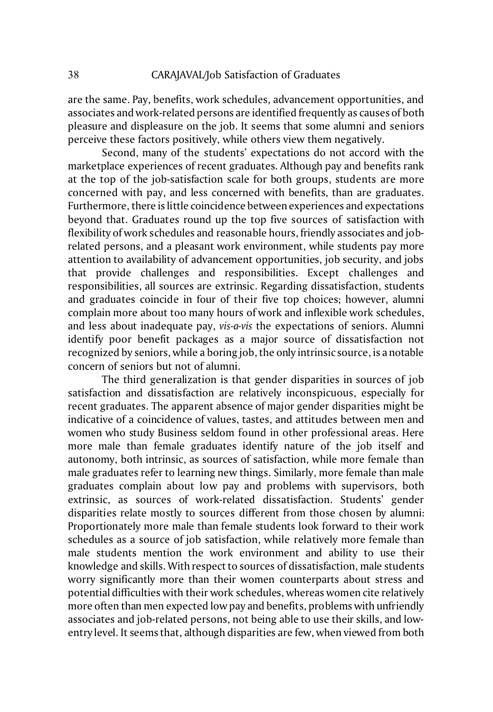are the same. Pay, benefits, work schedules, advancement opportunities, and associates and work-related persons are identified frequently as causes of both pleasure and displeasure on the job. It seems that some alumni and seniors perceive these factors positively, while others view them negatively.

Second, many of the students' expectations do not accord with the marketplace experiences of recent graduates. Although pay and benefits rank at the top of the job-satisfaction scale for both groups, students are more concerned with pay, and less concerned with benefits, than are graduates. Furthermore, there is little coincidence between experiences and expectations beyond that. Graduates round up the top five sources of satisfaction with flexibility of work schedules and reasonable hours, friendly associates and jobrelated persons, and a pleasant work environment, while students pay more attention to availability of advancement opportunities, job security, and jobs that provide challenges and responsibilities. Except challenges and responsibilities, all sources are extrinsic. Regarding dissatisfaction, students and graduates coincide in four of their five top choices; however, alumni complain more about too many hours of work and inflexible work schedules, and less about inadequate pay, *vis-a-vis* the expectations of seniors. Alumni identify poor benefit packages as a major source of dissatisfaction not recognized by seniors, while a boring job, the only intrinsic source, is a notable concern of seniors but not of alumni.

The third generalization is that gender disparities in sources of job satisfaction and dissatisfaction are relatively inconspicuous, especially for recent graduates. The apparent absence of major gender disparities might be indicative of a coincidence of values, tastes, and attitudes between men and women who study Business seldom found in other professional areas. Here more male than female graduates identify nature of the job itself and autonomy, both intrinsic, as sources of satisfaction, while more female than male graduates refer to learning new things. Similarly, more female than male graduates complain about low pay and problems with supervisors, both extrinsic, as sources of work-related dissatisfaction. Students' gender disparities relate mostly to sources different from those chosen by alumni: Proportionately more male than female students look forward to their work schedules as a source of job satisfaction, while relatively more female than male students mention the work environment and ability to use their knowledge and skills. With respect to sources of dissatisfaction, male students worry significantly more than their women counterparts about stress and potential difficulties with their work schedules, whereas women cite relatively more often than men expected low pay and benefits, problems with unfriendly associates and job-related persons, not being able to use their skills, and lowentry level. It seems that, although disparities are few, when viewed from both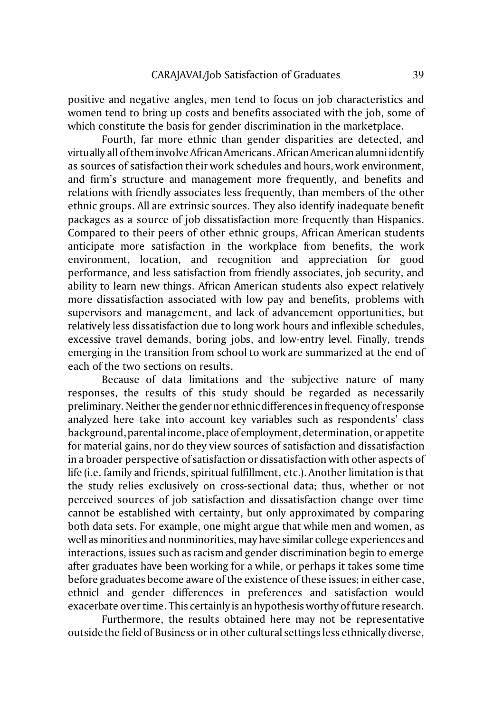positive and negative angles, men tend to focus on job characteristics and women tend to bring up costs and benefits associated with the job, some of which constitute the basis for gender discrimination in the marketplace.

Fourth, far more ethnic than gender disparities are detected, and virtually all of them involve African Americans. African American alumni identify as sources of satisfaction their work schedules and hours, work environment, and firm's structure and management more frequently, and benefits and relations with friendly associates less frequently, than members of the other ethnic groups. All are extrinsic sources. They also identify inadequate benefit packages as a source of job dissatisfaction more frequently than Hispanics. Compared to their peers of other ethnic groups, African American students anticipate more satisfaction in the workplace from benefits, the work environment, location, and recognition and appreciation for good performance, and less satisfaction from friendly associates, job security, and ability to learn new things. African American students also expect relatively more dissatisfaction associated with low pay and benefits, problems with supervisors and management, and lack of advancement opportunities, but relatively less dissatisfaction due to long work hours and inflexible schedules, excessive travel demands, boring jobs, and low-entry level. Finally, trends emerging in the transition from school to work are summarized at the end of each of the two sections on results.

Because of data limitations and the subjective nature of many responses, the results of this study should be regarded as necessarily preliminary. Neither the gender nor ethnic differences in frequency of response analyzed here take into account key variables such as respondents' class background, parental income,place ofemployment, determination, or appetite for material gains, nor do they view sources of satisfaction and dissatisfaction in a broader perspective of satisfaction or dissatisfaction with other aspects of life (i.e. family and friends, spiritual fulfillment, etc.). Another limitation is that the study relies exclusively on cross-sectional data; thus, whether or not perceived sources of job satisfaction and dissatisfaction change over time cannot be established with certainty, but only approximated by comparing both data sets. For example, one might argue that while men and women, as well as minorities and nonminorities, may have similar college experiences and interactions, issues such as racism and gender discrimination begin to emerge after graduates have been working for a while, or perhaps it takes some time before graduates become aware of the existence of these issues; in either case, ethnicl and gender differences in preferences and satisfaction would exacerbate over time. This certainly is an hypothesis worthy of future research.

Furthermore, the results obtained here may not be representative outside the field of Business or in other cultural settings less ethnically diverse,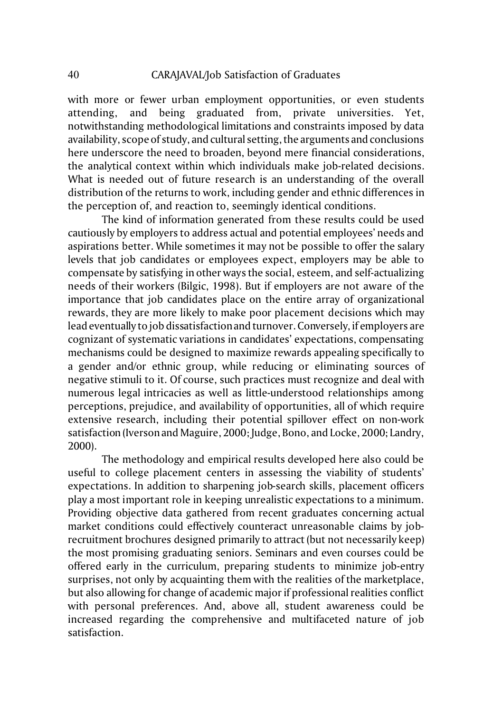40 CARAJAVAL/Job Satisfaction of Graduates

with more or fewer urban employment opportunities, or even students attending, and being graduated from, private universities. Yet, notwithstanding methodological limitations and constraints imposed by data availability, scope of study, and cultural setting, the arguments and conclusions here underscore the need to broaden, beyond mere financial considerations, the analytical context within which individuals make job-related decisions. What is needed out of future research is an understanding of the overall distribution of the returns to work, including gender and ethnic differences in the perception of, and reaction to, seemingly identical conditions.

The kind of information generated from these results could be used cautiously by employers to address actual and potential employees' needs and aspirations better. While sometimes it may not be possible to offer the salary levels that job candidates or employees expect, employers may be able to compensate by satisfying in other ways the social, esteem, and self-actualizing needs of their workers (Bilgic, 1998). But if employers are not aware of the importance that job candidates place on the entire array of organizational rewards, they are more likely to make poor placement decisions which may lead eventually to job dissatisfaction and turnover. Conversely, if employers are cognizant of systematic variations in candidates' expectations, compensating mechanisms could be designed to maximize rewards appealing specifically to a gender and/or ethnic group, while reducing or eliminating sources of negative stimuli to it. Of course, such practices must recognize and deal with numerous legal intricacies as well as little-understood relationships among perceptions, prejudice, and availability of opportunities, all of which require extensive research, including their potential spillover effect on non-work satisfaction (Iverson and Maguire, 2000; Judge, Bono, and Locke, 2000; Landry, 2000).

The methodology and empirical results developed here also could be useful to college placement centers in assessing the viability of students' expectations. In addition to sharpening job-search skills, placement officers play a most important role in keeping unrealistic expectations to a minimum. Providing objective data gathered from recent graduates concerning actual market conditions could effectively counteract unreasonable claims by jobrecruitment brochures designed primarily to attract (but not necessarily keep) the most promising graduating seniors. Seminars and even courses could be offered early in the curriculum, preparing students to minimize job-entry surprises, not only by acquainting them with the realities of the marketplace, but also allowing for change of academic major if professional realities conflict with personal preferences. And, above all, student awareness could be increased regarding the comprehensive and multifaceted nature of job satisfaction.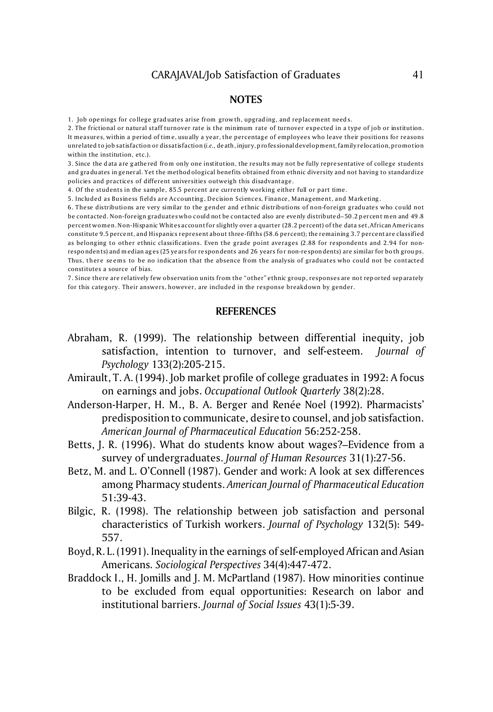## CARAJAVAL/Job Satisfaction of Graduates 41

#### **NOTES**

1. Job openings for college graduates arise from growth, upgrading, and replacement needs.

2. The frictional or natural staff turnover rate is the minimum rate of turnover expected in a type of job or institution. It measures, within a period of tim e, usually a year, the percentage of employees who leave their positions for reasons unrelated to job satisfaction or dissatisfaction (*i.e.,* de ath, injur y, professional development, family relocation, promotion within the institution, etc.).

3. Since the d ata a re g athe red from only one institution, the results may not be fully repre sentative of college students and graduates in gener al. Yet the method ological benefits obtained from ethnic diversity and not having to standardize policies and practices of different universities outweigh this disadvantage.

4. Of the students in the sample, 85.5 percent are currently working either full or part time.

5. Included as Business fields are Accounting, Decision Sciences, Finance, Management, and Marketing.

6. These distributions are very similar to the gender and ethnic distributions of non-foreign graduates who could not be contacted. Non-foreign graduates who could not be contacted also are evenly distributed–50.2 percent men and 49.8 percent women. Non-Hispanic Whites account for slightly over a quarter (28.2 pe rcent) of the data set, African Americans constitute 9.5 perce nt, and Hispanics represent about three-fifths (58.6 percent); the remaining 3.7 percent are classified as belonging to other ethnic classifications. Even the grade point averages (2.88 for respondents and 2.94 for nonrespo nden ts) and m edian ag es (25 ye ars for re spondents and 26 years for non-re spondents) are similar for bo th grou ps. Thus, there seems to be no indication that the absence from the analysis of graduates who could not be contacted constitutes a source of bias.

7. Since there are relatively few observation units from the "other" ethnic group, responses are not rep orted separa tely for this category. Their answers, however, are included in the response breakdown by gender.

#### **REFERENCES**

- Abraham, R. (1999). The relationship between differential inequity, job satisfaction, intention to turnover, and self-esteem. *Journal of Psychology* 133(2):205-215.
- Amirault, T. A. (1994). Job market profile of college graduates in 1992: A focus on earnings and jobs. *Occupational Outlook Quarterly* 38(2):28.
- Anderson-Harper, H. M., B. A. Berger and Renée Noel (1992). Pharmacists' predisposition to communicate, desire to counsel, and job satisfaction. *American Journal of Pharmaceutical Education* 56:252-258.
- Betts, J. R. (1996). What do students know about wages?–Evidence from a survey of undergraduates. *Journal of Human Resources* 31(1):27-56.
- Betz, M. and L. O'Connell (1987). Gender and work: A look at sex differences among Pharmacy students. *American Journal of Pharmaceutical Education* 51:39-43.
- Bilgic, R. (1998). The relationship between job satisfaction and personal characteristics of Turkish workers. *Journal of Psychology* 132(5): 549- 557.
- Boyd, R. L. (1991). Inequality in the earnings of self-employed African and Asian Americans. *Sociological Perspectives* 34(4):447-472.
- Braddock I., H. Jomills and J. M. McPartland (1987). How minorities continue to be excluded from equal opportunities: Research on labor and institutional barriers. *Journal of Social Issues* 43(1):5-39.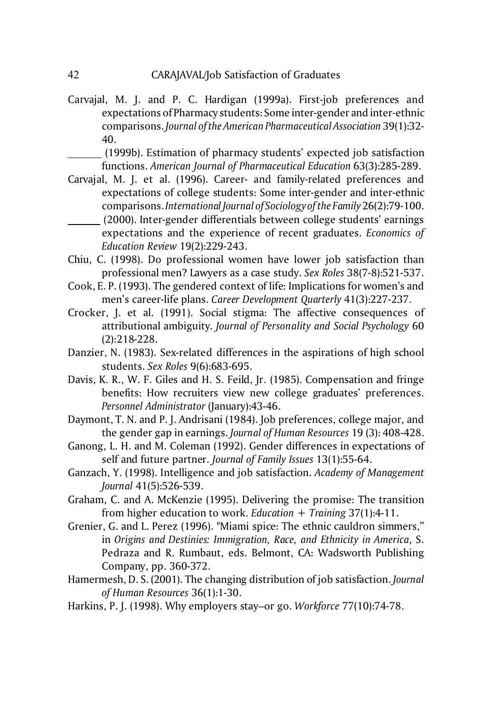Carvajal, M. J. and P. C. Hardigan (1999a). First-job preferences and expectations of Pharmacy students: Some inter-gender and inter-ethnic comparisons.*Journal of the American Pharmaceutical Association* 39(1):32- 40.

 (1999b). Estimation of pharmacy students' expected job satisfaction functions. *American Journal of Pharmaceutical Education* 63(3):285-289.

- Carvajal, M. J. et al. (1996). Career- and family-related preferences and expectations of college students: Some inter-gender and inter-ethnic comparisons.*International Journal of Sociology of the Family* 26(2):79-100. (2000). Inter-gender differentials between college students' earnings expectations and the experience of recent graduates. *Economics of Education Review* 19(2):229-243.
- Chiu, C. (1998). Do professional women have lower job satisfaction than professional men? Lawyers as a case study. *Sex Roles* 38(7-8):521-537.
- Cook, E. P. (1993). The gendered context of life: Implications for women's and men's career-life plans. *Career Development Quarterly* 41(3):227-237.
- Crocker, J. et al. (1991). Social stigma: The affective consequences of attributional ambiguity. *Journal of Personality and Social Psychology* 60 (2):218-228.
- Danzier, N. (1983). Sex-related differences in the aspirations of high school students. *Sex Roles* 9(6):683-695.
- Davis, K. R., W. F. Giles and H. S. Feild, Jr. (1985). Compensation and fringe benefits: How recruiters view new college graduates' preferences. *Personnel Administrator* (January):43-46.
- Daymont, T. N. and P. J. Andrisani (1984). Job preferences, college major, and the gender gap in earnings. *Journal of Human Resources* 19 (3): 408-428.
- Ganong, L. H. and M. Coleman (1992). Gender differences in expectations of self and future partner. *Journal of Family Issues* 13(1):55-64.
- Ganzach, Y. (1998). Intelligence and job satisfaction. *Academy of Management Journal* 41(5):526-539.
- Graham, C. and A. McKenzie (1995). Delivering the promise: The transition from higher education to work. *Education + Training* 37(1):4-11.
- Grenier, G. and L. Perez (1996). "Miami spice: The ethnic cauldron simmers," in *Origins and Destinies: Immigration, Race, and Ethnicity in America*, S. Pedraza and R. Rumbaut, eds. Belmont, CA: Wadsworth Publishing Company, pp. 360-372.
- Hamermesh, D. S. (2001). The changing distribution of job satisfaction. *Journal of Human Resources* 36(1):1-30.
- Harkins, P. J. (1998). Why employers stay–or go. *Workforce* 77(10):74-78.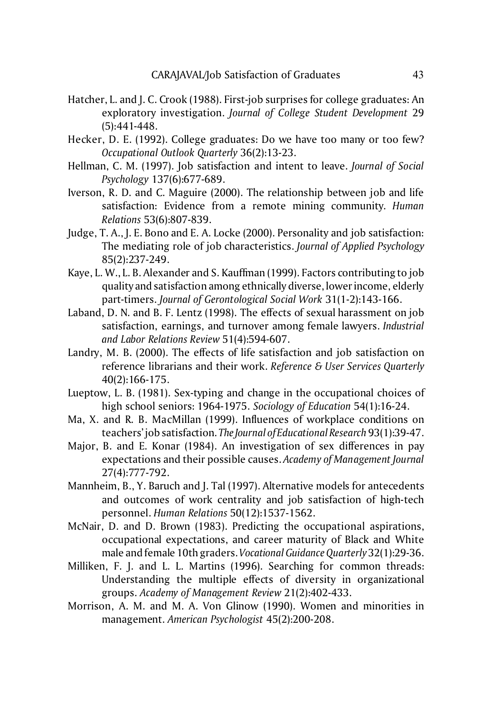- Hatcher, L. and J. C. Crook (1988). First-job surprises for college graduates: An exploratory investigation. *Journal of College Student Development* 29 (5):441-448.
- Hecker, D. E. (1992). College graduates: Do we have too many or too few? *Occupational Outlook Quarterly* 36(2):13-23.
- Hellman, C. M. (1997). Job satisfaction and intent to leave. *Journal of Social Psychology* 137(6):677-689.
- Iverson, R. D. and C. Maguire (2000). The relationship between job and life satisfaction: Evidence from a remote mining community. *Human Relations* 53(6):807-839.
- Judge, T. A., J. E. Bono and E. A. Locke (2000). Personality and job satisfaction: The mediating role of job characteristics. *Journal of Applied Psychology* 85(2):237-249.
- Kaye, L. W., L. B. Alexander and S. Kauffman (1999). Factors contributing to job quality and satisfaction among ethnically diverse, lower income, elderly part-timers. *Journal of Gerontological Social Work* 31(1-2):143-166.
- Laband, D. N. and B. F. Lentz (1998). The effects of sexual harassment on job satisfaction, earnings, and turnover among female lawyers. *Industrial and Labor Relations Review* 51(4):594-607.
- Landry, M. B. (2000). The effects of life satisfaction and job satisfaction on reference librarians and their work. *Reference & User Services Quarterly* 40(2):166-175.
- Lueptow, L. B. (1981). Sex-typing and change in the occupational choices of high school seniors: 1964-1975. *Sociology of Education* 54(1):16-24.
- Ma, X. and R. B. MacMillan (1999). Influences of workplace conditions on teachers' job satisfaction. The *Journal of Educational Research* 93(1):39-47.
- Major, B. and E. Konar (1984). An investigation of sex differences in pay expectations and their possible causes. *Academy of Management Journal* 27(4):777-792.
- Mannheim, B., Y. Baruch and J. Tal (1997). Alternative models for antecedents and outcomes of work centrality and job satisfaction of high-tech personnel. *Human Relations* 50(12):1537-1562.
- McNair, D. and D. Brown (1983). Predicting the occupational aspirations, occupational expectations, and career maturity of Black and White male and female 10th graders. *Vocational Guidance Quarterly* 32(1):29-36.
- Milliken, F. J. and L. L. Martins (1996). Searching for common threads: Understanding the multiple effects of diversity in organizational groups. *Academy of Management Review* 21(2):402-433.
- Morrison, A. M. and M. A. Von Glinow (1990). Women and minorities in management. *American Psychologist* 45(2):200-208.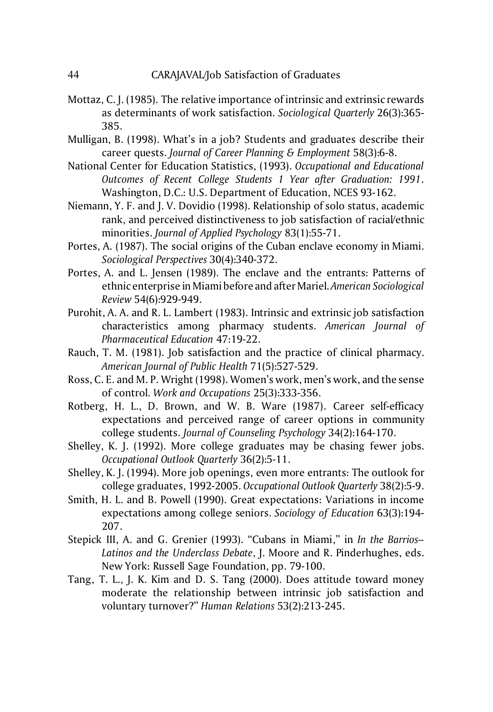- Mottaz, C. J. (1985). The relative importance of intrinsic and extrinsic rewards as determinants of work satisfaction. *Sociological Quarterly* 26(3):365- 385.
- Mulligan, B. (1998). What's in a job? Students and graduates describe their career quests. *Journal of Career Planning & Employment* 58(3):6-8.
- National Center for Education Statistics, (1993). *Occupational and Educational Outcomes of Recent College Students 1 Year after Graduation: 1991*. Washington, D.C.: U.S. Department of Education, NCES 93-162.
- Niemann, Y. F. and J. V. Dovidio (1998). Relationship of solo status, academic rank, and perceived distinctiveness to job satisfaction of racial/ethnic minorities. *Journal of Applied Psychology* 83(1):55-71.
- Portes, A. (1987). The social origins of the Cuban enclave economy in Miami. *Sociological Perspectives* 30(4):340-372.
- Portes, A. and L. Jensen (1989). The enclave and the entrants: Patterns of ethnic enterprise in Miami before and after Mariel. *American Sociological Review* 54(6):929-949.
- Purohit, A. A. and R. L. Lambert (1983). Intrinsic and extrinsic job satisfaction characteristics among pharmacy students. *American Journal of Pharmaceutical Education* 47:19-22.
- Rauch, T. M. (1981). Job satisfaction and the practice of clinical pharmacy. *American Journal of Public Health* 71(5):527-529.
- Ross, C. E. and M. P. Wright (1998). Women's work, men's work, and the sense of control. *Work and Occupations* 25(3):333-356.
- Rotberg, H. L., D. Brown, and W. B. Ware (1987). Career self-efficacy expectations and perceived range of career options in community college students. *Journal of Counseling Psychology* 34(2):164-170.
- Shelley, K. J. (1992). More college graduates may be chasing fewer jobs. *Occupational Outlook Quarterly* 36(2):5-11.
- Shelley, K. J. (1994). More job openings, even more entrants: The outlook for college graduates, 1992-2005. *Occupational Outlook Quarterly* 38(2):5-9.
- Smith, H. L. and B. Powell (1990). Great expectations: Variations in income expectations among college seniors. *Sociology of Education* 63(3):194- 207.
- Stepick III, A. and G. Grenier (1993). "Cubans in Miami," in *In the Barrios-- Latinos and the Underclass Debate*, J. Moore and R. Pinderhughes, eds. New York: Russell Sage Foundation, pp. 79-100.
- Tang, T. L., J. K. Kim and D. S. Tang (2000). Does attitude toward money moderate the relationship between intrinsic job satisfaction and voluntary turnover?" *Human Relations* 53(2):213-245.